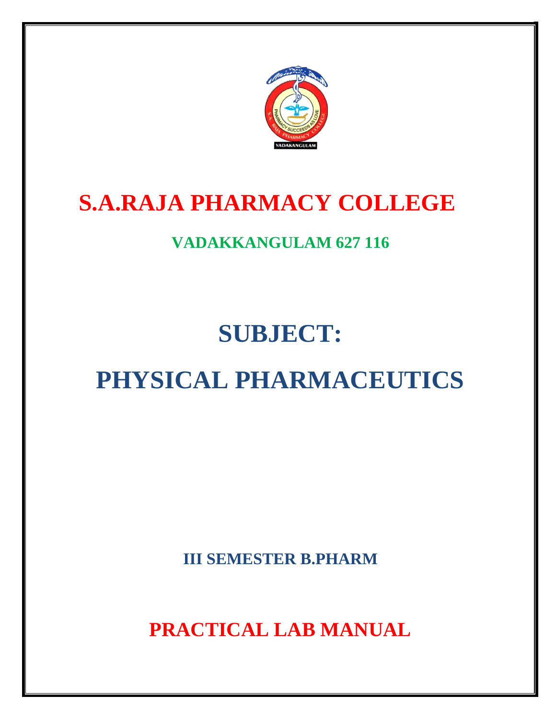

# **S.A.RAJA PHARMACY COLLEGE**

# **VADAKKANGULAM 627 116**

# **SUBJECT:**

# **PHYSICAL PHARMACEUTICS**

**III SEMESTER B.PHARM**

**PRACTICAL LAB MANUAL**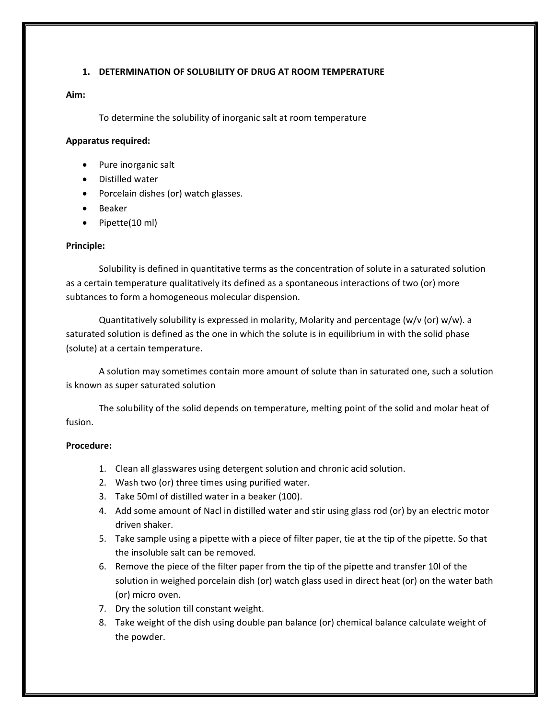# **1. DETERMINATION OF SOLUBILITY OF DRUG AT ROOM TEMPERATURE**

# **Aim:**

To determine the solubility of inorganic salt at room temperature

# **Apparatus required:**

- Pure inorganic salt
- Distilled water
- Porcelain dishes (or) watch glasses.
- Beaker
- Pipette(10 ml)

# **Principle:**

Solubility is defined in quantitative terms as the concentration of solute in a saturated solution as a certain temperature qualitatively its defined as a spontaneous interactions of two (or) more subtances to form a homogeneous molecular dispension.

Quantitatively solubility is expressed in molarity, Molarity and percentage (w/v (or) w/w). a saturated solution is defined as the one in which the solute is in equilibrium in with the solid phase (solute) at a certain temperature.

A solution may sometimes contain more amount of solute than in saturated one, such a solution is known as super saturated solution

The solubility of the solid depends on temperature, melting point of the solid and molar heat of fusion.

# **Procedure:**

- 1. Clean all glasswares using detergent solution and chronic acid solution.
- 2. Wash two (or) three times using purified water.
- 3. Take 50ml of distilled water in a beaker (100).
- 4. Add some amount of Nacl in distilled water and stir using glass rod (or) by an electric motor driven shaker.
- 5. Take sample using a pipette with a piece of filter paper, tie at the tip of the pipette. So that the insoluble salt can be removed.
- 6. Remove the piece of the filter paper from the tip of the pipette and transfer 10l of the solution in weighed porcelain dish (or) watch glass used in direct heat (or) on the water bath (or) micro oven.
- 7. Dry the solution till constant weight.
- 8. Take weight of the dish using double pan balance (or) chemical balance calculate weight of the powder.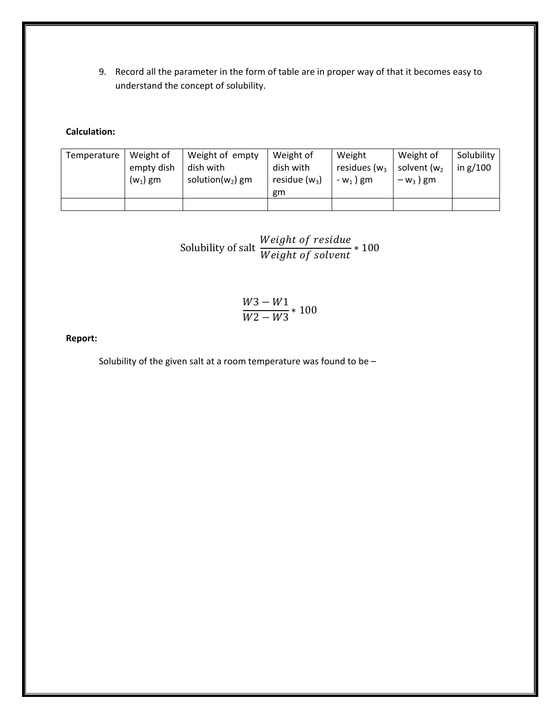9. Record all the parameter in the form of table are in proper way of that it becomes easy to understand the concept of solubility.

# **Calculation:**

| Temperature | Weight of<br>empty dish<br>$(w_1)$ gm | Weight of empty<br>dish with<br>solution( $w_2$ ) gm | Weight of<br>dish with<br>residue $(w_3)$<br>gm | Weight<br>residues ( $w_3$<br>$-w_1$ ) gm | Weight of<br>solvent (w <sub>2</sub><br>$-w_3$ ) gm | Solubility<br>in $g/100$ |
|-------------|---------------------------------------|------------------------------------------------------|-------------------------------------------------|-------------------------------------------|-----------------------------------------------------|--------------------------|
|             |                                       |                                                      |                                                 |                                           |                                                     |                          |

Solubility of salt 
$$
\frac{Weight\ of\ residue}{Weight\ of\ solvent} * 100
$$

$$
\frac{W3-W1}{W2-W3}*100
$$

# **Report:**

Solubility of the given salt at a room temperature was found to be  $-$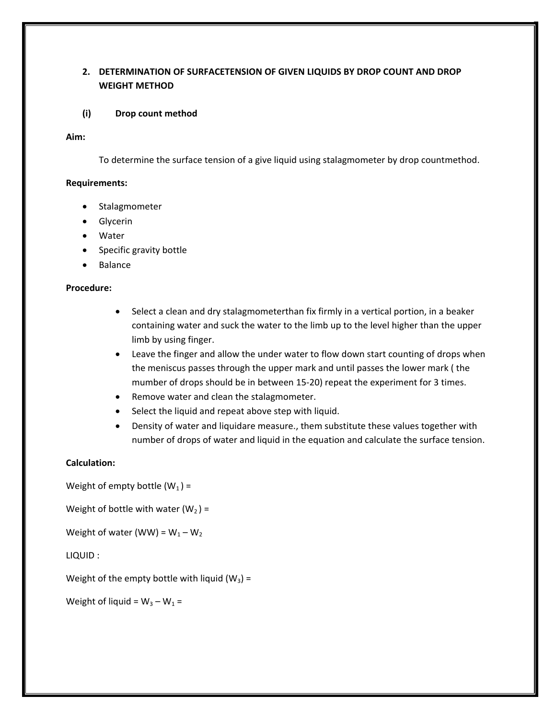# **2. DETERMINATION OF SURFACETENSION OF GIVEN LIQUIDS BY DROP COUNT AND DROP WEIGHT METHOD**

# **(i) Drop count method**

### **Aim:**

To determine the surface tension of a give liquid using stalagmometer by drop countmethod.

# **Requirements:**

- Stalagmometer
- Glycerin
- Water
- Specific gravity bottle
- Balance

### **Procedure:**

- Select a clean and dry stalagmometerthan fix firmly in a vertical portion, in a beaker containing water and suck the water to the limb up to the level higher than the upper limb by using finger.
- Leave the finger and allow the under water to flow down start counting of drops when the meniscus passes through the upper mark and until passes the lower mark ( the mumber of drops should be in between 15-20) repeat the experiment for 3 times.
- Remove water and clean the stalagmometer.
- Select the liquid and repeat above step with liquid.
- Density of water and liquidare measure., them substitute these values together with number of drops of water and liquid in the equation and calculate the surface tension.

# **Calculation:**

Weight of empty bottle  $(W_1)$  =

Weight of bottle with water  $(W_2)$  =

Weight of water (WW) =  $W_1 - W_2$ 

LIQUID :

Weight of the empty bottle with liquid  $(W_3)$  =

Weight of liquid =  $W_3 - W_1 =$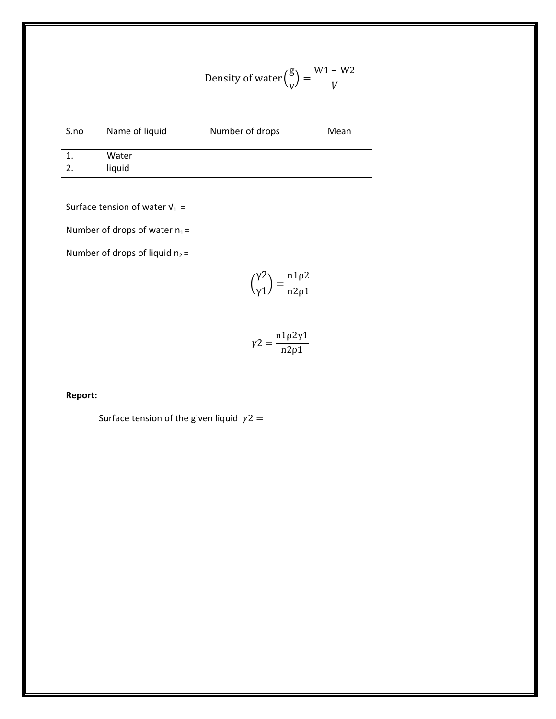Density of water 
$$
\left(\frac{g}{v}\right) = \frac{W1 - W2}{V}
$$

| S.no | Name of liquid | Number of drops | Mean |  |
|------|----------------|-----------------|------|--|
|      | Water          |                 |      |  |
|      | liquid         |                 |      |  |

Surface tension of water  $V_1$  =

Number of drops of water  $n_1 =$ 

Number of drops of liquid  $n_2$  =

$$
\left(\frac{\gamma 2}{\gamma 1}\right) = \frac{n 1 \rho 2}{n 2 \rho 1}
$$

$$
\gamma 2 = \frac{n1\rho 2\gamma 1}{n2\rho 1}
$$

# **Report:**

Surface tension of the given liquid  $\gamma$ 2 =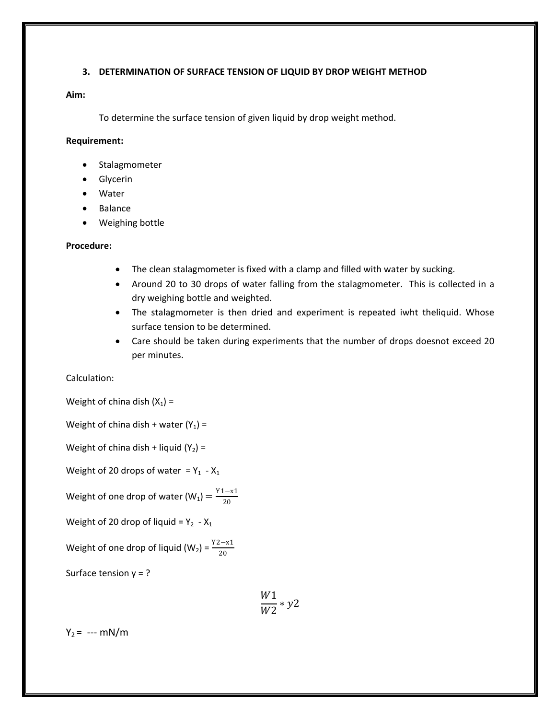# **3. DETERMINATION OF SURFACE TENSION OF LIQUID BY DROP WEIGHT METHOD**

# **Aim:**

To determine the surface tension of given liquid by drop weight method.

### **Requirement:**

- Stalagmometer
- Glycerin
- Water
- Balance
- Weighing bottle

### **Procedure:**

- The clean stalagmometer is fixed with a clamp and filled with water by sucking.
- Around 20 to 30 drops of water falling from the stalagmometer. This is collected in a dry weighing bottle and weighted.
- The stalagmometer is then dried and experiment is repeated iwht theliquid. Whose surface tension to be determined.
- Care should be taken during experiments that the number of drops doesnot exceed 20 per minutes.

Calculation:

Weight of china dish  $(X_1)$  =

Weight of china dish + water  $(Y_1)$  =

Weight of china dish + liquid  $(Y_2)$  =

Weight of 20 drops of water =  $Y_1$  -  $X_1$ 

Weight of one drop of water (W<sub>1</sub>) =  $\frac{Y1-x1}{20}$ 

Weight of 20 drop of liquid =  $Y_2$  -  $X_1$ 

Weight of one drop of liquid (W<sub>2</sub>) =  $\frac{Y2-x1}{20}$ 

Surface tension  $y = ?$ 

$$
\frac{W1}{W2} * y2
$$

 $Y_2 =$  --- mN/m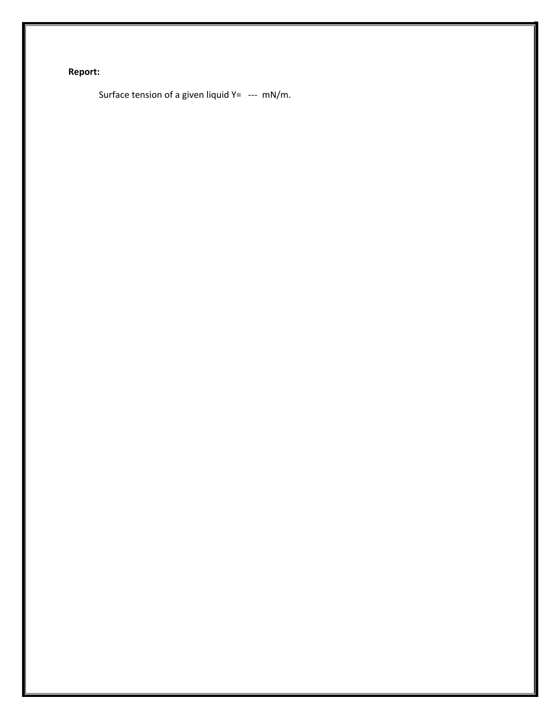# **Report:**

Surface tension of a given liquid  $Y=$  --- mN/m.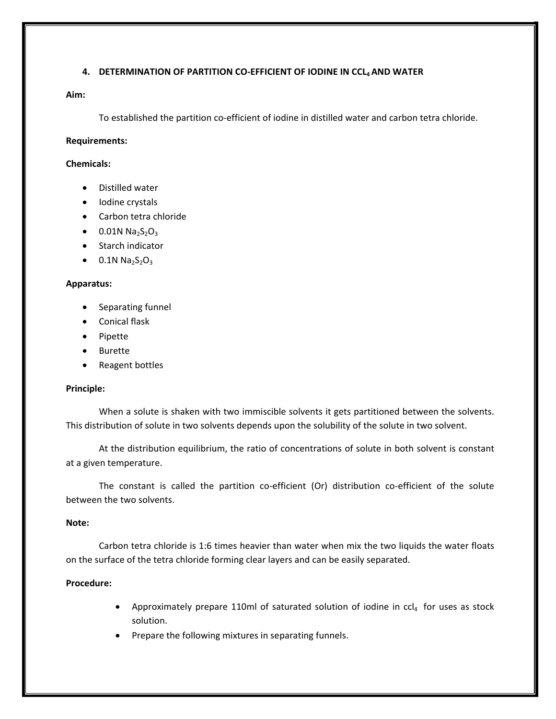# **4. DETERMINATION OF PARTITION CO-EFFICIENT OF IODINE IN CCL4 AND WATER**

# **Aim:**

To established the partition co-efficient of iodine in distilled water and carbon tetra chloride.

# **Requirements:**

# **Chemicals:**

- Distilled water
- Iodine crystals
- Carbon tetra chloride
- 0.01N  $Na<sub>2</sub>S<sub>2</sub>O<sub>3</sub>$
- Starch indicator
- $\bullet$  0.1N Na<sub>2</sub>S<sub>2</sub>O<sub>3</sub>

# **Apparatus:**

- Separating funnel
- Conical flask
- Pipette
- Burette
- Reagent bottles

#### **Principle:**

When a solute is shaken with two immiscible solvents it gets partitioned between the solvents. This distribution of solute in two solvents depends upon the solubility of the solute in two solvent.

At the distribution equilibrium, the ratio of concentrations of solute in both solvent is constant at a given temperature.

The constant is called the partition co-efficient (Or) distribution co-efficient of the solute between the two solvents.

# **Note:**

Carbon tetra chloride is 1:6 times heavier than water when mix the two liquids the water floats on the surface of the tetra chloride forming clear layers and can be easily separated.

# **Procedure:**

- Approximately prepare 110ml of saturated solution of iodine in  $ccl_4$  for uses as stock solution.
- Prepare the following mixtures in separating funnels.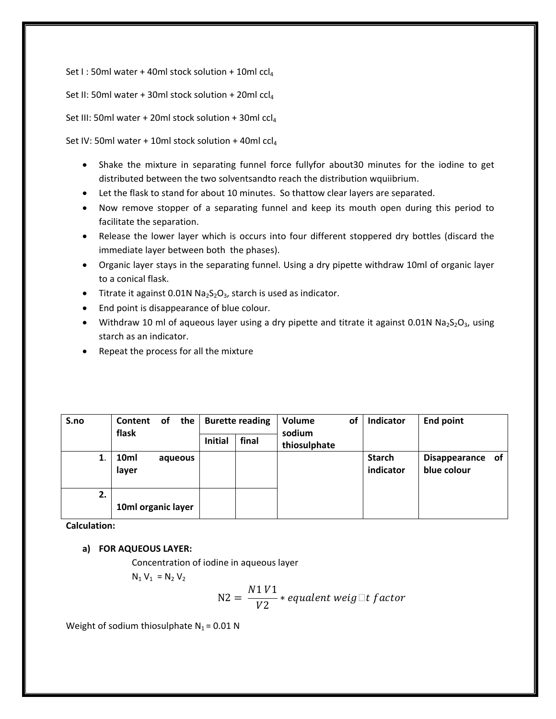Set I : 50ml water + 40ml stock solution + 10ml  $\text{ccl}_4$ 

Set II: 50ml water + 30ml stock solution + 20ml ccl<sub>4</sub>

Set III: 50ml water + 20ml stock solution + 30ml ccl4

Set IV: 50ml water + 10ml stock solution + 40ml  $ccl_4$ 

- Shake the mixture in separating funnel force fullyfor about30 minutes for the iodine to get distributed between the two solventsandto reach the distribution wquiibrium.
- Let the flask to stand for about 10 minutes. So thattow clear layers are separated.
- Now remove stopper of a separating funnel and keep its mouth open during this period to facilitate the separation.
- Release the lower layer which is occurs into four different stoppered dry bottles (discard the immediate layer between both the phases).
- Organic layer stays in the separating funnel. Using a dry pipette withdraw 10ml of organic layer to a conical flask.
- Titrate it against 0.01N  $Na<sub>2</sub>S<sub>2</sub>O<sub>3</sub>$ , starch is used as indicator.
- End point is disappearance of blue colour.
- Withdraw 10 ml of aqueous layer using a dry pipette and titrate it against 0.01N Na<sub>2</sub>S<sub>2</sub>O<sub>3</sub>, using starch as an indicator.
- Repeat the process for all the mixture

| S.no | Content<br>flask   | <b>of</b> | the     |                | <b>Burette reading</b> | Volume<br>sodium | of | Indicator                  | <b>End point</b>                |  |
|------|--------------------|-----------|---------|----------------|------------------------|------------------|----|----------------------------|---------------------------------|--|
|      |                    |           |         | <b>Initial</b> | final                  | thiosulphate     |    |                            |                                 |  |
|      | 10ml<br>layer      |           | aqueous |                |                        |                  |    | <b>Starch</b><br>indicator | Disappearance of<br>blue colour |  |
| 2.   | 10ml organic layer |           |         |                |                        |                  |    |                            |                                 |  |

**Calculation:**

# **a) FOR AQUEOUS LAYER:**

Concentration of iodine in aqueous layer

 $N_1 V_1 = N_2 V_2$ 

$$
N2 = \frac{N1 V1}{V2} * equalent weight factor
$$

Weight of sodium thiosulphate  $N_1 = 0.01$  N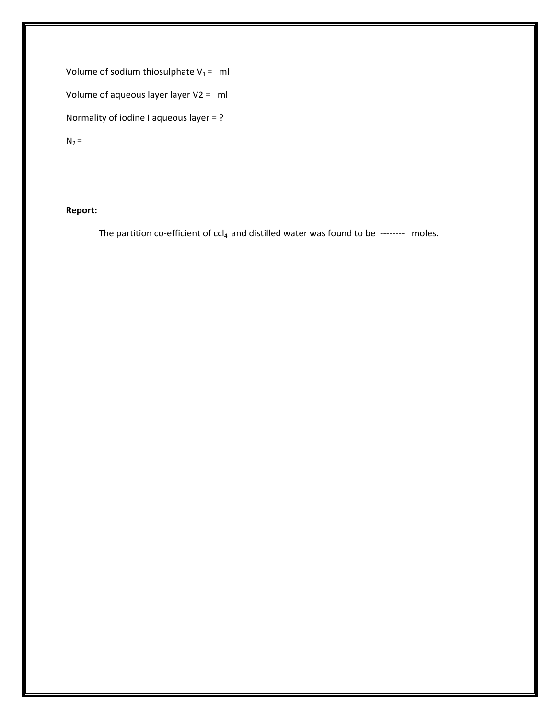Volume of sodium thiosulphate  $V_1 = ml$ Volume of aqueous layer layer V2 = ml Normality of iodine I aqueous layer = ?

 $N_2 =$ 

# **Report:**

The partition co-efficient of  $ccl_4$  and distilled water was found to be -------- moles.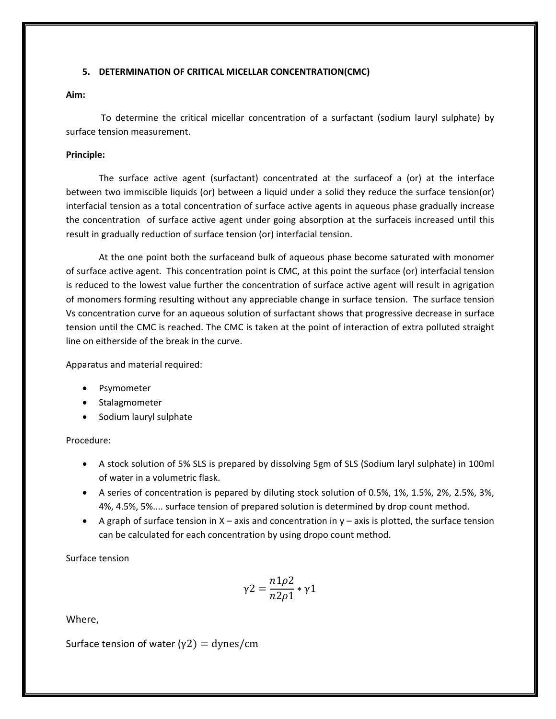# **5. DETERMINATION OF CRITICAL MICELLAR CONCENTRATION(CMC)**

# **Aim:**

To determine the critical micellar concentration of a surfactant (sodium lauryl sulphate) by surface tension measurement.

# **Principle:**

The surface active agent (surfactant) concentrated at the surfaceof a (or) at the interface between two immiscible liquids (or) between a liquid under a solid they reduce the surface tension(or) interfacial tension as a total concentration of surface active agents in aqueous phase gradually increase the concentration of surface active agent under going absorption at the surfaceis increased until this result in gradually reduction of surface tension (or) interfacial tension.

At the one point both the surfaceand bulk of aqueous phase become saturated with monomer of surface active agent. This concentration point is CMC, at this point the surface (or) interfacial tension is reduced to the lowest value further the concentration of surface active agent will result in agrigation of monomers forming resulting without any appreciable change in surface tension. The surface tension Vs concentration curve for an aqueous solution of surfactant shows that progressive decrease in surface tension until the CMC is reached. The CMC is taken at the point of interaction of extra polluted straight line on eitherside of the break in the curve.

Apparatus and material required:

- Psymometer
- Stalagmometer
- Sodium lauryl sulphate

Procedure:

- A stock solution of 5% SLS is prepared by dissolving 5gm of SLS (Sodium laryl sulphate) in 100ml of water in a volumetric flask.
- A series of concentration is pepared by diluting stock solution of 0.5%, 1%, 1.5%, 2%, 2.5%, 3%, 4%, 4.5%, 5%.... surface tension of prepared solution is determined by drop count method.
- A graph of surface tension in  $X a$ xis and concentration in  $y a$ xis is plotted, the surface tension can be calculated for each concentration by using dropo count method.

Surface tension

$$
\gamma 2 = \frac{n1\rho 2}{n2\rho 1} * \gamma 1
$$

Where,

Surface tension of water ( $\gamma$ 2) = dynes/cm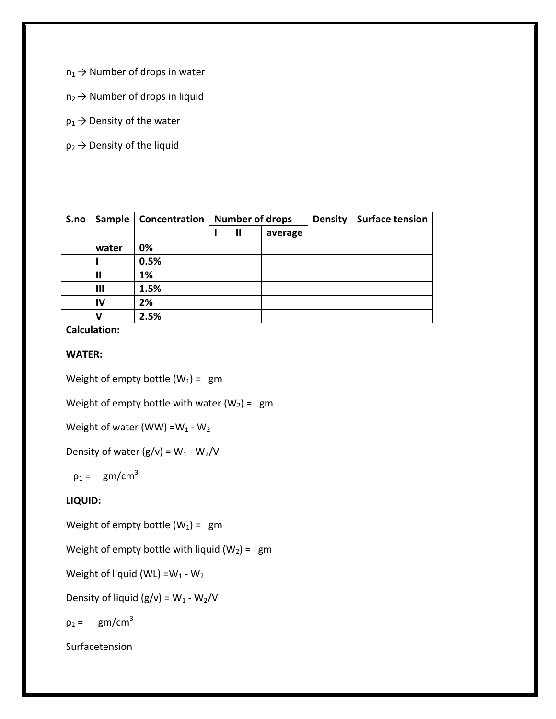$n_1 \rightarrow$  Number of drops in water

- $n_2 \rightarrow$  Number of drops in liquid
- $p_1 \rightarrow$  Density of the water
- $p_2 \rightarrow$  Density of the liquid

| S.no | Sample | Concentration | <b>Number of drops</b> |   |         | <b>Density</b> | <b>Surface tension</b> |
|------|--------|---------------|------------------------|---|---------|----------------|------------------------|
|      |        |               |                        | Ш | average |                |                        |
|      | water  | 0%            |                        |   |         |                |                        |
|      |        | 0.5%          |                        |   |         |                |                        |
|      | Ш      | 1%            |                        |   |         |                |                        |
|      | Ш      | 1.5%          |                        |   |         |                |                        |
|      | IV     | 2%            |                        |   |         |                |                        |
|      | ν      | 2.5%          |                        |   |         |                |                        |

**Calculation:**

# **WATER:**

Weight of empty bottle  $(W_1) = gm$ 

Weight of empty bottle with water  $(W_2) = gm$ 

Weight of water (WW) = $W_1$  -  $W_2$ 

Density of water  $(g/v) = W_1 - W_2/V$ 

 $\rho_1 = \text{gm/cm}^3$ 

# **LIQUID:**

Weight of empty bottle  $(W_1) = gm$ 

Weight of empty bottle with liquid  $(W_2) = gm$ 

Weight of liquid (WL) = $W_1$  -  $W_2$ 

Density of liquid  $(g/v) = W_1 - W_2/V$ 

$$
\rho_2 = gm/cm^3
$$

Surfacetension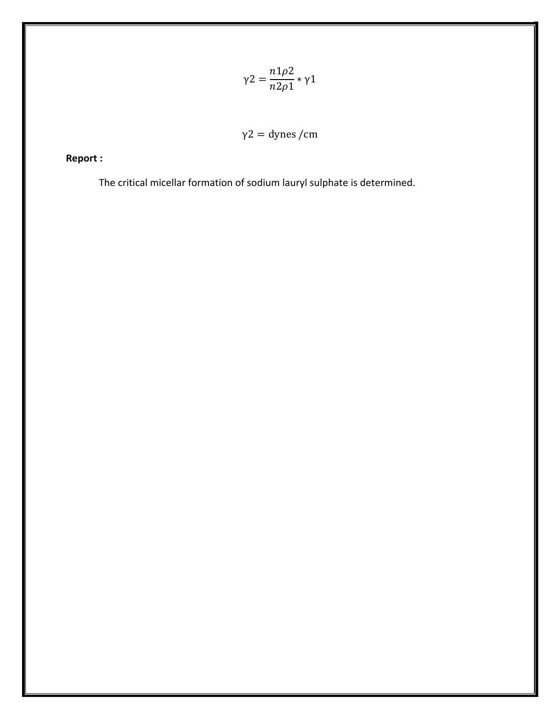$$
\gamma 2 = \frac{n1\rho 2}{n2\rho 1} * \gamma 1
$$

$$
\gamma 2 = \text{dynes /cm}
$$

**Report :**

The critical micellar formation of sodium lauryl sulphate is determined.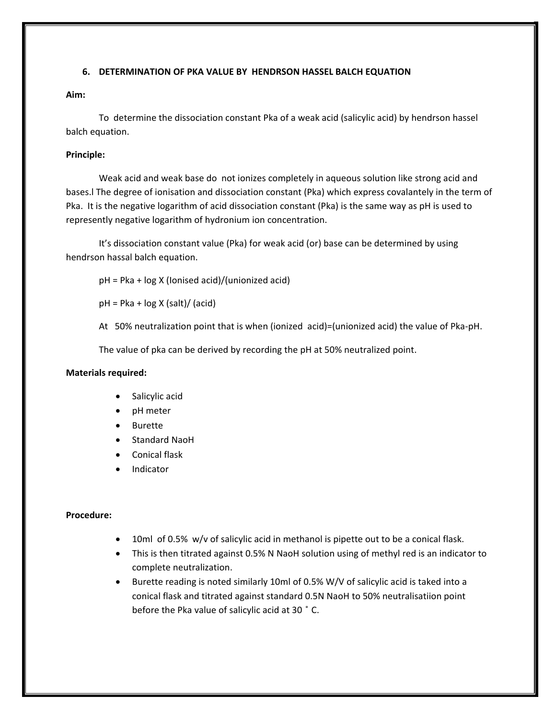# **6. DETERMINATION OF PKA VALUE BY HENDRSON HASSEL BALCH EQUATION**

# **Aim:**

To determine the dissociation constant Pka of a weak acid (salicylic acid) by hendrson hassel balch equation.

# **Principle:**

Weak acid and weak base do not ionizes completely in aqueous solution like strong acid and bases.l The degree of ionisation and dissociation constant (Pka) which express covalantely in the term of Pka. It is the negative logarithm of acid dissociation constant (Pka) is the same way as pH is used to represently negative logarithm of hydronium ion concentration.

It's dissociation constant value (Pka) for weak acid (or) base can be determined by using hendrson hassal balch equation.

pH = Pka + log X (Ionised acid)/(unionized acid)

 $pH = Pka + log X (salt) / (acid)$ 

At 50% neutralization point that is when (ionized acid)=(unionized acid) the value of Pka-pH.

The value of pka can be derived by recording the pH at 50% neutralized point.

# **Materials required:**

- Salicylic acid
- pH meter
- **Burette**
- Standard NaoH
- Conical flask
- Indicator

# **Procedure:**

- 10ml of 0.5% w/v of salicylic acid in methanol is pipette out to be a conical flask.
- This is then titrated against 0.5% N NaoH solution using of methyl red is an indicator to complete neutralization.
- Burette reading is noted similarly 10ml of 0.5% W/V of salicylic acid is taked into a conical flask and titrated against standard 0.5N NaoH to 50% neutralisatiion point before the Pka value of salicylic acid at 30 ̊ C.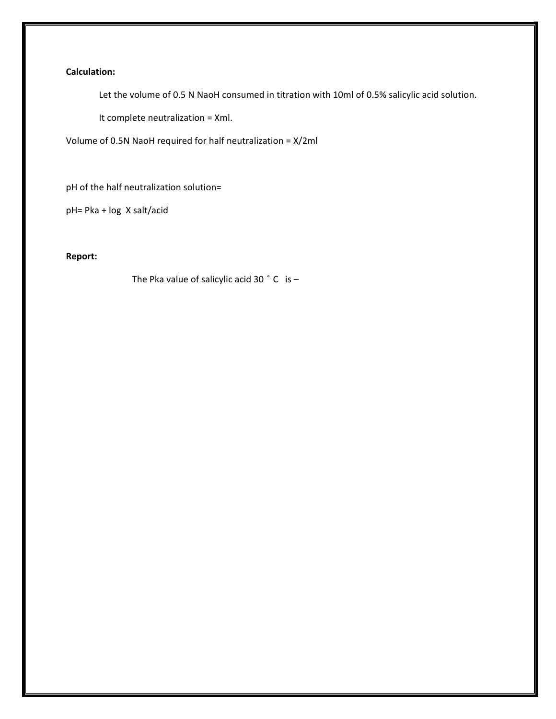# **Calculation:**

Let the volume of 0.5 N NaoH consumed in titration with 10ml of 0.5% salicylic acid solution.

It complete neutralization = Xml.

Volume of 0.5N NaoH required for half neutralization = X/2ml

pH of the half neutralization solution=

pH= Pka + log X salt/acid

**Report:**

The Pka value of salicylic acid 30  $\degree$  C is -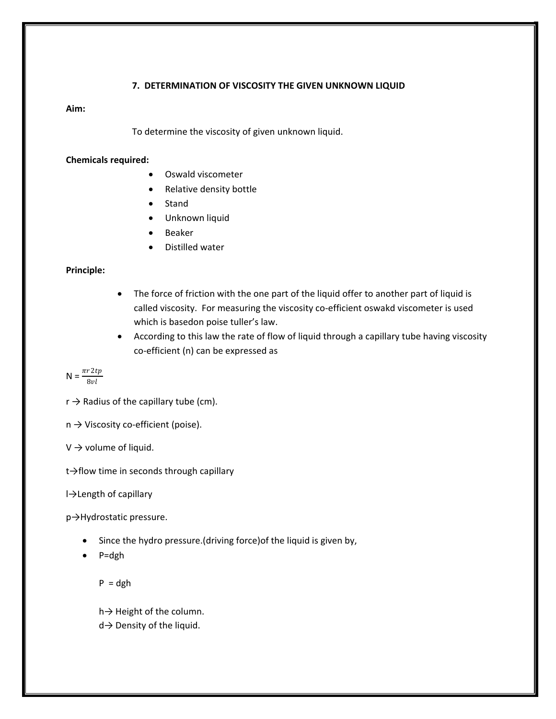### **7. DETERMINATION OF VISCOSITY THE GIVEN UNKNOWN LIQUID**

#### **Aim:**

To determine the viscosity of given unknown liquid.

#### **Chemicals required:**

- Oswald viscometer
- Relative density bottle
- **Stand**
- Unknown liquid
- **Beaker**
- Distilled water

### **Principle:**

- The force of friction with the one part of the liquid offer to another part of liquid is called viscosity. For measuring the viscosity co-efficient oswakd viscometer is used which is basedon poise tuller's law.
- According to this law the rate of flow of liquid through a capillary tube having viscosity co-efficient (n) can be expressed as

$$
\mathsf{N}=\frac{\pi r\,2tp}{8vl}
$$

- $r \rightarrow$  Radius of the capillary tube (cm).
- $n \rightarrow V$ iscosity co-efficient (poise).

 $V \rightarrow$  volume of liquid.

t→flow time in seconds through capillary

l→Length of capillary

p→Hydrostatic pressure.

- Since the hydro pressure.(driving force)of the liquid is given by,
- P=dgh

 $P = dgh$ 

h→ Height of the column.

d→ Density of the liquid.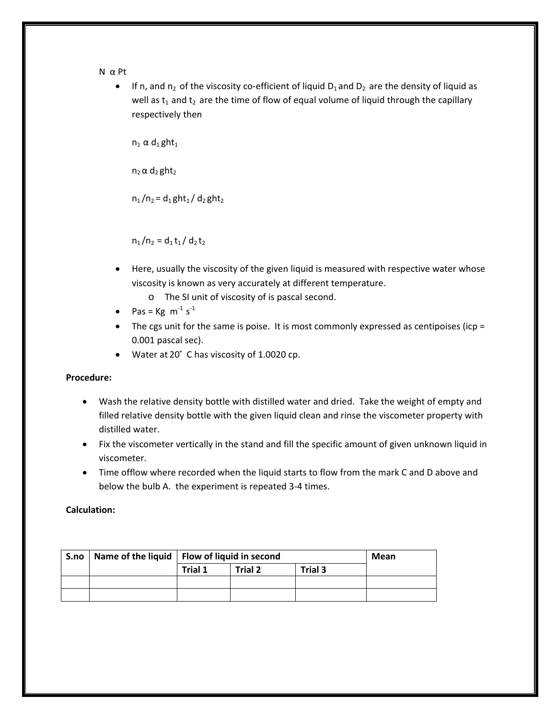#### N α Pt

• If n, and  $n_2$  of the viscosity co-efficient of liquid  $D_1$  and  $D_2$  are the density of liquid as well as  $t_1$  and  $t_2$  are the time of flow of equal volume of liquid through the capillary respectively then

 $n_1 \alpha d_1 g$ ht<sub>1</sub>

 $n_2 \alpha$  d<sub>2</sub> ght<sub>2</sub>

 $n_1/n_2 = d_1 g h t_1 / d_2 g h t_2$ 

 $n_1/n_2 = d_1 t_1 / d_2 t_2$ 

- Here, usually the viscosity of the given liquid is measured with respective water whose viscosity is known as very accurately at different temperature.
	- o The SI unit of viscosity of is pascal second.
- Pas =  $Kg \text{ m}^{-1} s^{-1}$
- The cgs unit for the same is poise. It is most commonly expressed as centipoises (icp = 0.001 pascal sec).
- Water at 20° C has viscosity of 1.0020 cp.

# **Procedure:**

- Wash the relative density bottle with distilled water and dried. Take the weight of empty and filled relative density bottle with the given liquid clean and rinse the viscometer property with distilled water.
- Fix the viscometer vertically in the stand and fill the specific amount of given unknown liquid in viscometer.
- Time offlow where recorded when the liquid starts to flow from the mark C and D above and below the bulb A. the experiment is repeated 3-4 times.

# **Calculation:**

| S.no | Name of the liquid   Flow of liquid in second |         | Mean    |         |  |
|------|-----------------------------------------------|---------|---------|---------|--|
|      |                                               | Trial 1 | Trial 2 | Trial 3 |  |
|      |                                               |         |         |         |  |
|      |                                               |         |         |         |  |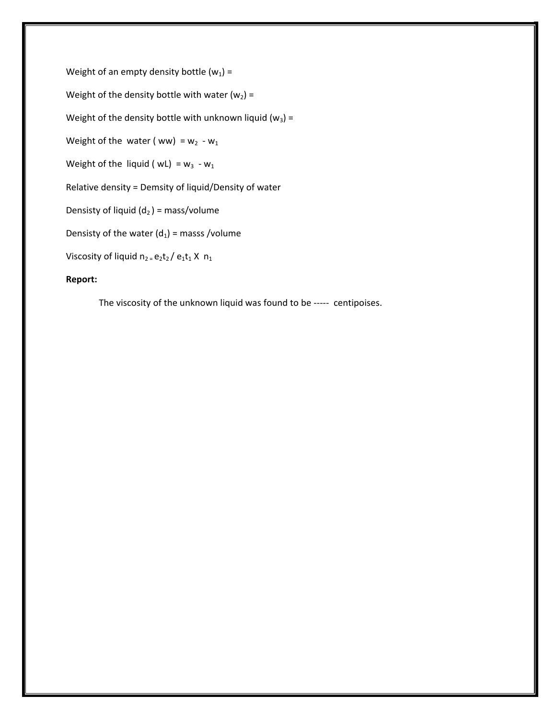Weight of an empty density bottle  $(w_1)$  = Weight of the density bottle with water  $(w_2)$  = Weight of the density bottle with unknown liquid ( $w_3$ ) = Weight of the water ( ww) =  $w_2 - w_1$ Weight of the liquid ( $wL$ ) =  $w_3 - w_1$ Relative density = Demsity of liquid/Density of water Densisty of liquid  $(d_2)$  = mass/volume Densisty of the water  $(d_1)$  = masss /volume Viscosity of liquid  $n_2 = e_2t_2 / e_1t_1 X n_1$ **Report:**

The viscosity of the unknown liquid was found to be ----- centipoises.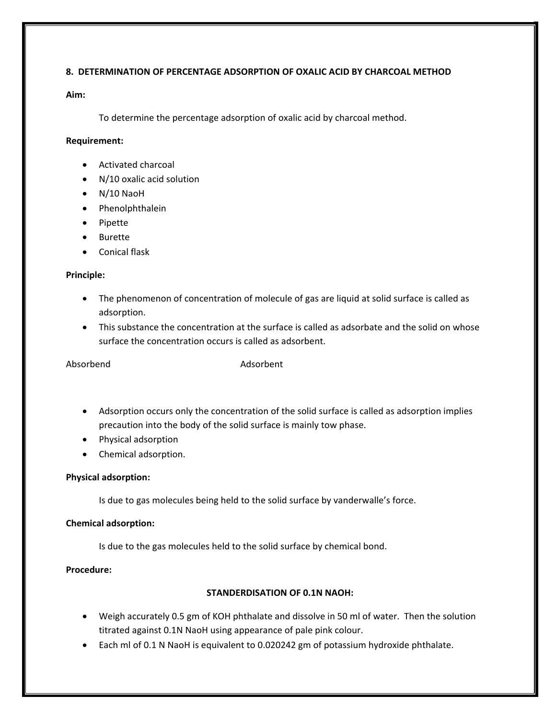# **8. DETERMINATION OF PERCENTAGE ADSORPTION OF OXALIC ACID BY CHARCOAL METHOD**

# **Aim:**

To determine the percentage adsorption of oxalic acid by charcoal method.

# **Requirement:**

- Activated charcoal
- N/10 oxalic acid solution
- N/10 NaoH
- Phenolphthalein
- Pipette
- Burette
- Conical flask

# **Principle:**

- The phenomenon of concentration of molecule of gas are liquid at solid surface is called as adsorption.
- This substance the concentration at the surface is called as adsorbate and the solid on whose surface the concentration occurs is called as adsorbent.

Absorbend Adsorbent

- Adsorption occurs only the concentration of the solid surface is called as adsorption implies precaution into the body of the solid surface is mainly tow phase.
- Physical adsorption
- Chemical adsorption.

# **Physical adsorption:**

Is due to gas molecules being held to the solid surface by vanderwalle's force.

# **Chemical adsorption:**

Is due to the gas molecules held to the solid surface by chemical bond.

**Procedure:**

# **STANDERDISATION OF 0.1N NAOH:**

- Weigh accurately 0.5 gm of KOH phthalate and dissolve in 50 ml of water. Then the solution titrated against 0.1N NaoH using appearance of pale pink colour.
- Each ml of 0.1 N NaoH is equivalent to 0.020242 gm of potassium hydroxide phthalate.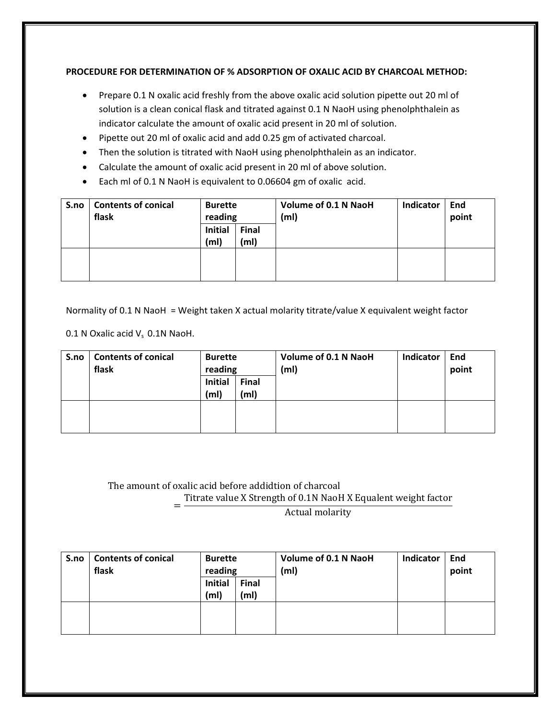# **PROCEDURE FOR DETERMINATION OF % ADSORPTION OF OXALIC ACID BY CHARCOAL METHOD:**

- Prepare 0.1 N oxalic acid freshly from the above oxalic acid solution pipette out 20 ml of solution is a clean conical flask and titrated against 0.1 N NaoH using phenolphthalein as indicator calculate the amount of oxalic acid present in 20 ml of solution.
- Pipette out 20 ml of oxalic acid and add 0.25 gm of activated charcoal.
- Then the solution is titrated with NaoH using phenolphthalein as an indicator.
- Calculate the amount of oxalic acid present in 20 ml of above solution.
- Each ml of 0.1 N NaoH is equivalent to 0.06604 gm of oxalic acid.

| S.no | <b>Contents of conical</b><br>flask | <b>Burette</b><br>reading           |                                   | <b>Volume of 0.1 N NaoH</b><br>(m <sub>l</sub> ) | Indicator | End<br>point |
|------|-------------------------------------|-------------------------------------|-----------------------------------|--------------------------------------------------|-----------|--------------|
|      |                                     | <b>Initial</b><br>(m <sub>l</sub> ) | <b>Final</b><br>(m <sub>l</sub> ) |                                                  |           |              |
|      |                                     |                                     |                                   |                                                  |           |              |

Normality of 0.1 N NaoH = Weight taken X actual molarity titrate/value X equivalent weight factor

0.1 N Oxalic acid  $V_s$  0.1N NaoH.

| S.no | <b>Contents of conical</b><br>flask | <b>Burette</b><br>reading           |                                   | Volume of 0.1 N NaoH<br>(m <sub>l</sub> ) | Indicator | End<br>point |
|------|-------------------------------------|-------------------------------------|-----------------------------------|-------------------------------------------|-----------|--------------|
|      |                                     | <b>Initial</b><br>(m <sub>l</sub> ) | <b>Final</b><br>(m <sub>l</sub> ) |                                           |           |              |
|      |                                     |                                     |                                   |                                           |           |              |

# The amount of oxalic acid before addidtion of charcoal

<sup>=</sup> Titrate value <sup>X</sup> Strength of 0.1N NaoH <sup>X</sup> Equalent weight factor

Actual molarity

| S.no | <b>Contents of conical</b><br>flask | <b>Burette</b><br>reading           |                                   | <b>Volume of 0.1 N NaoH</b><br>(m <sub>l</sub> ) | Indicator | End<br>point |
|------|-------------------------------------|-------------------------------------|-----------------------------------|--------------------------------------------------|-----------|--------------|
|      |                                     | <b>Initial</b><br>(m <sub>l</sub> ) | <b>Final</b><br>(m <sub>l</sub> ) |                                                  |           |              |
|      |                                     |                                     |                                   |                                                  |           |              |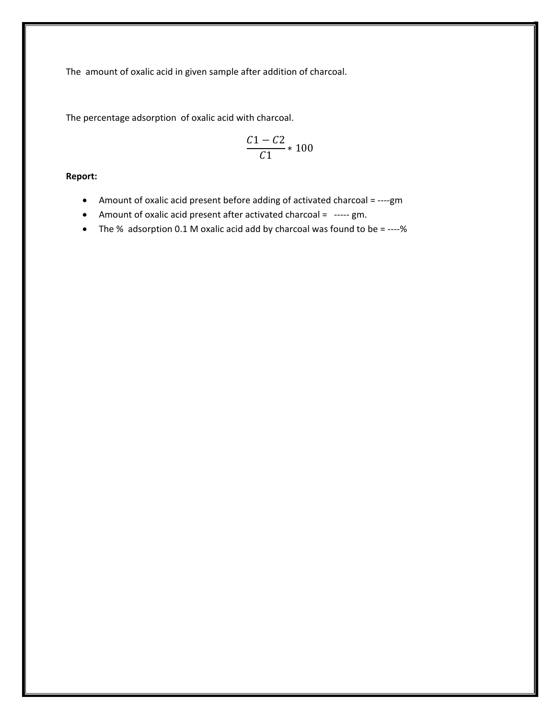The amount of oxalic acid in given sample after addition of charcoal.

The percentage adsorption of oxalic acid with charcoal.

$$
\frac{C1 - C2}{C1} \times 100
$$

**Report:**

- Amount of oxalic acid present before adding of activated charcoal = ----gm
- Amount of oxalic acid present after activated charcoal = ----- gm.
- The % adsorption 0.1 M oxalic acid add by charcoal was found to be = ----%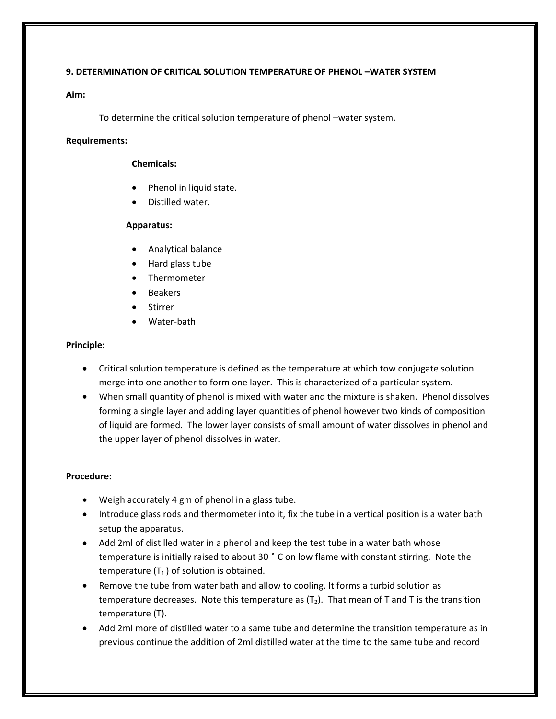# **9. DETERMINATION OF CRITICAL SOLUTION TEMPERATURE OF PHENOL –WATER SYSTEM**

# **Aim:**

To determine the critical solution temperature of phenol –water system.

# **Requirements:**

### **Chemicals:**

- Phenol in liquid state.
- Distilled water.

# **Apparatus:**

- Analytical balance
- Hard glass tube
- Thermometer
- **Beakers**
- **Stirrer**
- Water-bath

# **Principle:**

- Critical solution temperature is defined as the temperature at which tow conjugate solution merge into one another to form one layer. This is characterized of a particular system.
- When small quantity of phenol is mixed with water and the mixture is shaken. Phenol dissolves forming a single layer and adding layer quantities of phenol however two kinds of composition of liquid are formed. The lower layer consists of small amount of water dissolves in phenol and the upper layer of phenol dissolves in water.

# **Procedure:**

- Weigh accurately 4 gm of phenol in a glass tube.
- Introduce glass rods and thermometer into it, fix the tube in a vertical position is a water bath setup the apparatus.
- Add 2ml of distilled water in a phenol and keep the test tube in a water bath whose temperature is initially raised to about 30 ̊C on low flame with constant stirring. Note the temperature  $(T_1)$  of solution is obtained.
- Remove the tube from water bath and allow to cooling. It forms a turbid solution as temperature decreases. Note this temperature as  $(T_2)$ . That mean of T and T is the transition temperature (T).
- Add 2ml more of distilled water to a same tube and determine the transition temperature as in previous continue the addition of 2ml distilled water at the time to the same tube and record